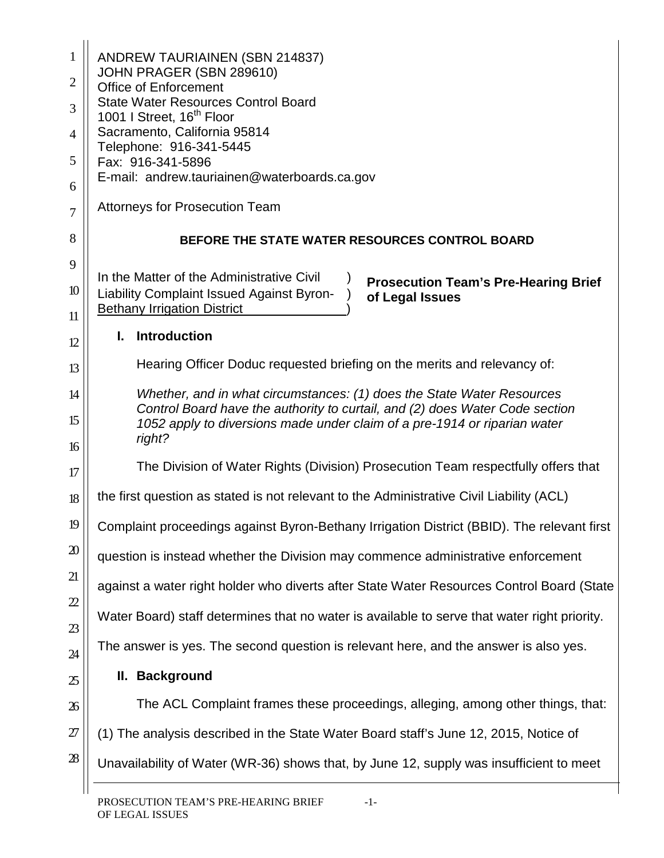| 1<br>$\overline{2}$<br>3<br>$\overline{4}$<br>5<br>6<br>7<br>8 | <b>ANDREW TAURIAINEN (SBN 214837)</b><br>JOHN PRAGER (SBN 289610)<br><b>Office of Enforcement</b><br><b>State Water Resources Control Board</b><br>1001 I Street, 16 <sup>th</sup> Floor<br>Sacramento, California 95814<br>Telephone: 916-341-5445<br>Fax: 916-341-5896<br>E-mail: andrew.tauriainen@waterboards.ca.gov<br><b>Attorneys for Prosecution Team</b><br>BEFORE THE STATE WATER RESOURCES CONTROL BOARD |
|----------------------------------------------------------------|---------------------------------------------------------------------------------------------------------------------------------------------------------------------------------------------------------------------------------------------------------------------------------------------------------------------------------------------------------------------------------------------------------------------|
| 9<br>10<br>11                                                  | In the Matter of the Administrative Civil<br><b>Prosecution Team's Pre-Hearing Brief</b><br><b>Liability Complaint Issued Against Byron-</b><br>of Legal Issues<br><b>Bethany Irrigation District</b>                                                                                                                                                                                                               |
| 12                                                             | <b>Introduction</b><br>L.                                                                                                                                                                                                                                                                                                                                                                                           |
| 13                                                             | Hearing Officer Doduc requested briefing on the merits and relevancy of:                                                                                                                                                                                                                                                                                                                                            |
| 14<br>15<br>16                                                 | Whether, and in what circumstances: (1) does the State Water Resources<br>Control Board have the authority to curtail, and (2) does Water Code section<br>1052 apply to diversions made under claim of a pre-1914 or riparian water<br>right?                                                                                                                                                                       |
| 17                                                             | The Division of Water Rights (Division) Prosecution Team respectfully offers that                                                                                                                                                                                                                                                                                                                                   |
| 18                                                             | the first question as stated is not relevant to the Administrative Civil Liability (ACL)                                                                                                                                                                                                                                                                                                                            |
| 19                                                             | Complaint proceedings against Byron-Bethany Irrigation District (BBID). The relevant first                                                                                                                                                                                                                                                                                                                          |
| $\mathfrak{D}$                                                 | question is instead whether the Division may commence administrative enforcement                                                                                                                                                                                                                                                                                                                                    |
| 21                                                             | against a water right holder who diverts after State Water Resources Control Board (State                                                                                                                                                                                                                                                                                                                           |
| $\mathfrak{D}$                                                 | Water Board) staff determines that no water is available to serve that water right priority.                                                                                                                                                                                                                                                                                                                        |
| 23<br>24                                                       | The answer is yes. The second question is relevant here, and the answer is also yes.                                                                                                                                                                                                                                                                                                                                |
| 25                                                             | II. Background                                                                                                                                                                                                                                                                                                                                                                                                      |
| 26                                                             | The ACL Complaint frames these proceedings, alleging, among other things, that:                                                                                                                                                                                                                                                                                                                                     |
| 27                                                             | (1) The analysis described in the State Water Board staff's June 12, 2015, Notice of                                                                                                                                                                                                                                                                                                                                |
| $\mathbf{28}$                                                  | Unavailability of Water (WR-36) shows that, by June 12, supply was insufficient to meet                                                                                                                                                                                                                                                                                                                             |
|                                                                |                                                                                                                                                                                                                                                                                                                                                                                                                     |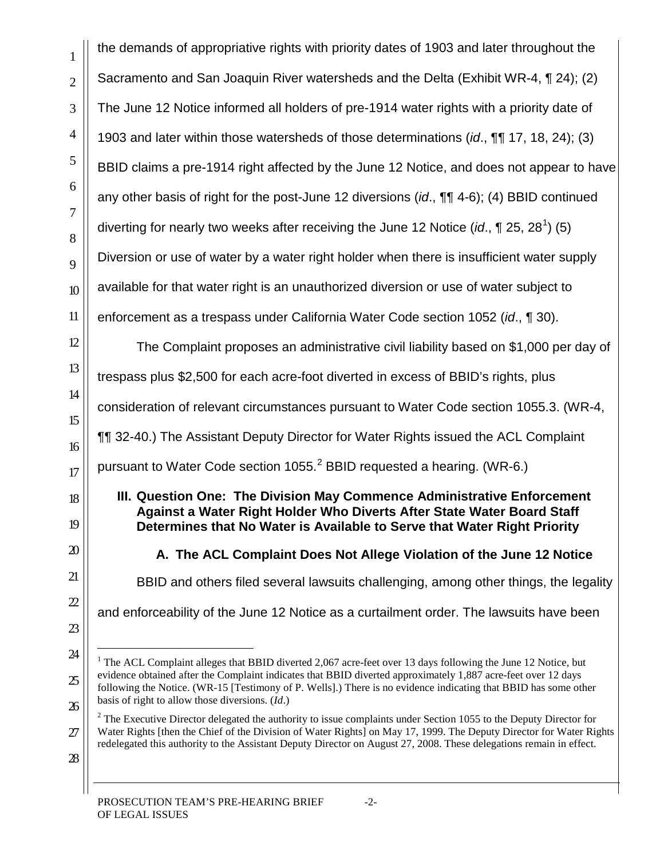the demands of appropriative rights with priority dates of 1903 and later throughout the Sacramento and San Joaquin River watersheds and the Delta (Exhibit WR-4, ¶ 24); (2) The June 12 Notice informed all holders of pre-1914 water rights with a priority date of 1903 and later within those watersheds of those determinations (*id*., ¶¶ 17, 18, 24); (3) BBID claims a pre-1914 right affected by the June 12 Notice, and does not appear to have any other basis of right for the post-June 12 diversions (*id*., ¶¶ 4-6); (4) BBID continued diverting for nearly two weeks after receiving the June [1](#page-1-0)2 Notice (*id.*, ¶ 25, 28<sup>1</sup>) (5) Diversion or use of water by a water right holder when there is insufficient water supply available for that water right is an unauthorized diversion or use of water subject to enforcement as a trespass under California Water Code section 1052 (*id*., ¶ 30).

The Complaint proposes an administrative civil liability based on \$1,000 per day of trespass plus \$2,500 for each acre-foot diverted in excess of BBID's rights, plus consideration of relevant circumstances pursuant to Water Code section 1055.3. (WR-4, ¶¶ 32-40.) The Assistant Deputy Director for Water Rights issued the ACL Complaint pursuant to Water Code section 1055. $^2$  $^2$  BBID requested a hearing. (WR-6.)

#### **III. Question One: The Division May Commence Administrative Enforcement Against a Water Right Holder Who Diverts After State Water Board Staff Determines that No Water is Available to Serve that Water Right Priority**

**A. The ACL Complaint Does Not Allege Violation of the June 12 Notice**

BBID and others filed several lawsuits challenging, among other things, the legality

and enforceability of the June 12 Notice as a curtailment order. The lawsuits have been

<span id="page-1-1"></span>

<span id="page-1-0"></span><sup>&</sup>lt;sup>1</sup> The ACL Complaint alleges that BBID diverted 2,067 acre-feet over 13 days following the June 12 Notice, but evidence obtained after the Complaint indicates that BBID diverted approximately 1,887 acre-feet over 12 days following the Notice. (WR-15 [Testimony of P. Wells].) There is no evidence indicating that BBID has some other basis of right to allow those diversions. (*Id*.)

 $2$  The Executive Director delegated the authority to issue complaints under Section 1055 to the Deputy Director for Water Rights [then the Chief of the Division of Water Rights] on May 17, 1999. The Deputy Director for Water Rights redelegated this authority to the Assistant Deputy Director on August 27, 2008. These delegations remain in effect.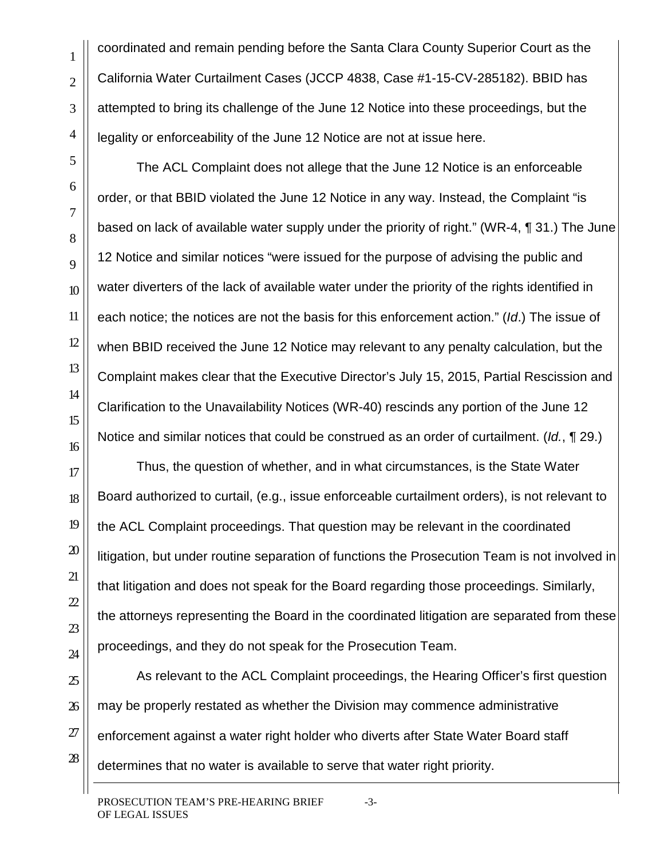coordinated and remain pending before the Santa Clara County Superior Court as the California Water Curtailment Cases (JCCP 4838, Case #1-15-CV-285182). BBID has attempted to bring its challenge of the June 12 Notice into these proceedings, but the legality or enforceability of the June 12 Notice are not at issue here.

The ACL Complaint does not allege that the June 12 Notice is an enforceable order, or that BBID violated the June 12 Notice in any way. Instead, the Complaint "is based on lack of available water supply under the priority of right." (WR-4, ¶ 31.) The June 12 Notice and similar notices "were issued for the purpose of advising the public and water diverters of the lack of available water under the priority of the rights identified in each notice; the notices are not the basis for this enforcement action." (*Id*.) The issue of when BBID received the June 12 Notice may relevant to any penalty calculation, but the Complaint makes clear that the Executive Director's July 15, 2015, Partial Rescission and Clarification to the Unavailability Notices (WR-40) rescinds any portion of the June 12 Notice and similar notices that could be construed as an order of curtailment. (*Id.*, ¶ 29.)

Thus, the question of whether, and in what circumstances, is the State Water Board authorized to curtail, (e.g., issue enforceable curtailment orders), is not relevant to the ACL Complaint proceedings. That question may be relevant in the coordinated litigation, but under routine separation of functions the Prosecution Team is not involved in that litigation and does not speak for the Board regarding those proceedings. Similarly, the attorneys representing the Board in the coordinated litigation are separated from these proceedings, and they do not speak for the Prosecution Team.

As relevant to the ACL Complaint proceedings, the Hearing Officer's first question may be properly restated as whether the Division may commence administrative enforcement against a water right holder who diverts after State Water Board staff determines that no water is available to serve that water right priority.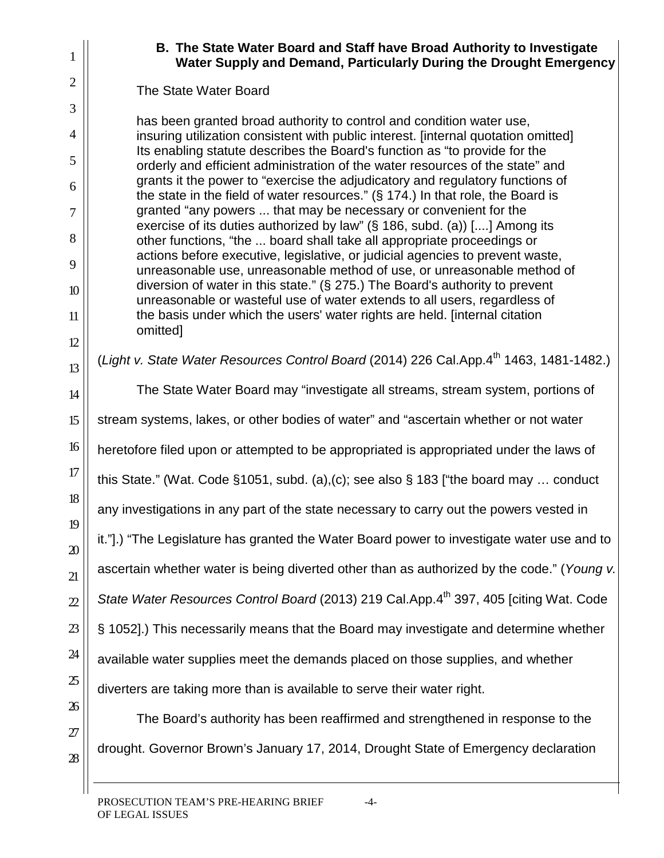## **B. The State Water Board and Staff have Broad Authority to Investigate Water Supply and Demand, Particularly During the Drought Emergency**

# The State Water Board

has been granted broad authority to control and condition water use, insuring utilization consistent with public interest. [internal quotation omitted] Its enabling statute describes the Board's function as "to provide for the orderly and efficient administration of the water resources of the state" and grants it the power to "exercise the adjudicatory and regulatory functions of the state in the field of water resources." (§ 174.) In that role, the Board is granted "any powers ... that may be necessary or convenient for the exercise of its duties authorized by law" (§ 186, subd. (a)) [....] Among its other functions, "the ... board shall take all appropriate proceedings or actions before executive, legislative, or judicial agencies to prevent waste, unreasonable use, unreasonable method of use, or unreasonable method of diversion of water in this state." (§ 275.) The Board's authority to prevent unreasonable or wasteful use of water extends to all users, regardless of the basis under which the users' water rights are held. [internal citation omitted]

(*Light v. State Water Resources Control Board* (2014) 226 Cal.App.4<sup>th</sup> 1463, 1481-1482.)

The State Water Board may "investigate all streams, stream system, portions of

stream systems, lakes, or other bodies of water" and "ascertain whether or not water

heretofore filed upon or attempted to be appropriated is appropriated under the laws of

this State." (Wat. Code §1051, subd. (a),(c); see also § 183 ["the board may … conduct

any investigations in any part of the state necessary to carry out the powers vested in

it."].) "The Legislature has granted the Water Board power to investigate water use and to

ascertain whether water is being diverted other than as authorized by the code." (*Young v.* 

*State Water Resources Control Board* (2013) 219 Cal.App.4<sup>th</sup> 397, 405 [citing Wat. Code

§ 1052].) This necessarily means that the Board may investigate and determine whether

available water supplies meet the demands placed on those supplies, and whether

diverters are taking more than is available to serve their water right.

The Board's authority has been reaffirmed and strengthened in response to the drought. Governor Brown's January 17, 2014, Drought State of Emergency declaration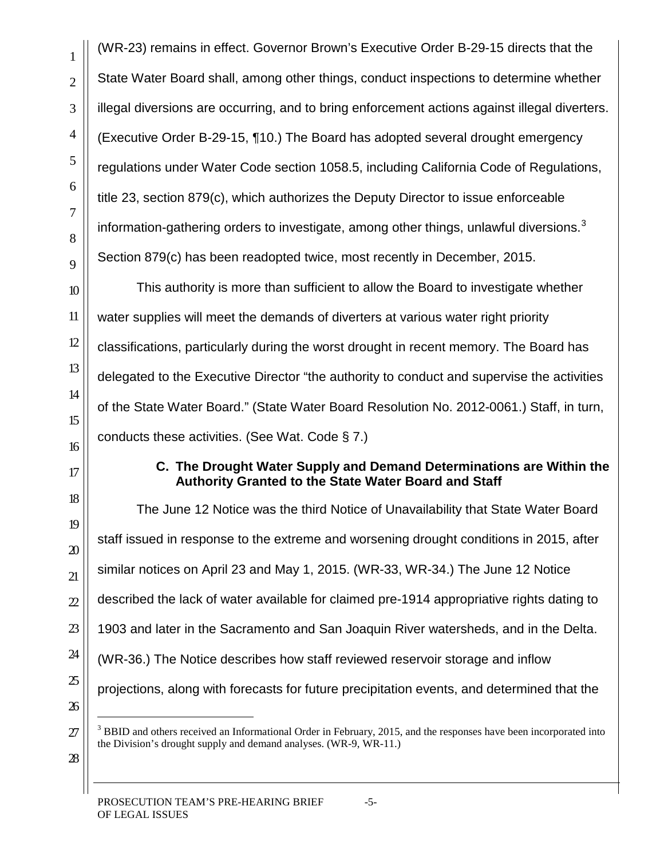(WR-23) remains in effect. Governor Brown's Executive Order B-29-15 directs that the State Water Board shall, among other things, conduct inspections to determine whether illegal diversions are occurring, and to bring enforcement actions against illegal diverters. (Executive Order B-29-15, ¶10.) The Board has adopted several drought emergency regulations under Water Code section 1058.5, including California Code of Regulations, title 23, section 879(c), which authorizes the Deputy Director to issue enforceable information-gathering orders to investigate, among other things, unlawful diversions.<sup>[3](#page-4-0)</sup> Section 879(c) has been readopted twice, most recently in December, 2015.

This authority is more than sufficient to allow the Board to investigate whether water supplies will meet the demands of diverters at various water right priority classifications, particularly during the worst drought in recent memory. The Board has delegated to the Executive Director "the authority to conduct and supervise the activities of the State Water Board." (State Water Board Resolution No. 2012-0061.) Staff, in turn, conducts these activities. (See Wat. Code § 7.)

### **C. The Drought Water Supply and Demand Determinations are Within the Authority Granted to the State Water Board and Staff**

The June 12 Notice was the third Notice of Unavailability that State Water Board staff issued in response to the extreme and worsening drought conditions in 2015, after similar notices on April 23 and May 1, 2015. (WR-33, WR-34.) The June 12 Notice described the lack of water available for claimed pre-1914 appropriative rights dating to 1903 and later in the Sacramento and San Joaquin River watersheds, and in the Delta. (WR-36.) The Notice describes how staff reviewed reservoir storage and inflow projections, along with forecasts for future precipitation events, and determined that the

<span id="page-4-0"></span>

<sup>&</sup>lt;sup>3</sup> BBID and others received an Informational Order in February, 2015, and the responses have been incorporated into the Division's drought supply and demand analyses. (WR-9, WR-11.)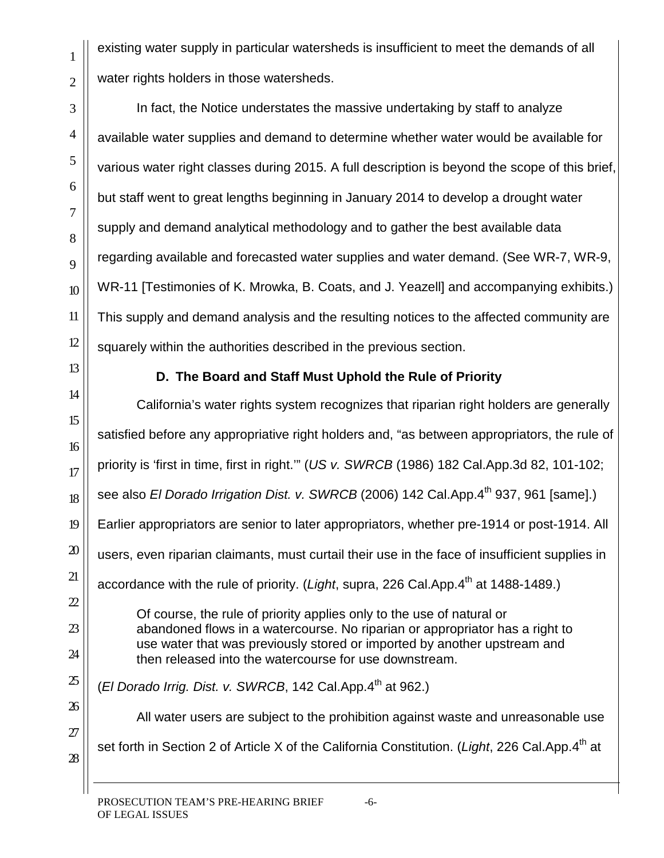existing water supply in particular watersheds is insufficient to meet the demands of all water rights holders in those watersheds.

1

2

3

4

5

6

7

8

9

10

11

12

13

14

15

16

17

18

19

20

21

 $22$ 

23

24

25

26

27

28

In fact, the Notice understates the massive undertaking by staff to analyze available water supplies and demand to determine whether water would be available for various water right classes during 2015. A full description is beyond the scope of this brief, but staff went to great lengths beginning in January 2014 to develop a drought water supply and demand analytical methodology and to gather the best available data regarding available and forecasted water supplies and water demand. (See WR-7, WR-9, WR-11 [Testimonies of K. Mrowka, B. Coats, and J. Yeazell] and accompanying exhibits.) This supply and demand analysis and the resulting notices to the affected community are squarely within the authorities described in the previous section.

## **D. The Board and Staff Must Uphold the Rule of Priority**

California's water rights system recognizes that riparian right holders are generally satisfied before any appropriative right holders and, "as between appropriators, the rule of priority is 'first in time, first in right.'" (*US v. SWRCB* (1986) 182 Cal.App.3d 82, 101-102; see also *El Dorado Irrigation Dist. v. SWRCB* (2006) 142 Cal.App.4<sup>th</sup> 937, 961 [same].) Earlier appropriators are senior to later appropriators, whether pre-1914 or post-1914. All users, even riparian claimants, must curtail their use in the face of insufficient supplies in accordance with the rule of priority. (*Light*, supra, 226 Cal.App.4<sup>th</sup> at 1488-1489.) Of course, the rule of priority applies only to the use of natural or abandoned flows in a watercourse. No riparian or appropriator has a right to use water that was previously stored or imported by another upstream and then released into the watercourse for use downstream.

(*El Dorado Irrig. Dist. v. SWRCB*, 142 Cal.App.4<sup>th</sup> at 962.)

All water users are subject to the prohibition against waste and unreasonable use set forth in Section 2 of Article X of the California Constitution. (*Light*, 226 Cal.App.4<sup>th</sup> at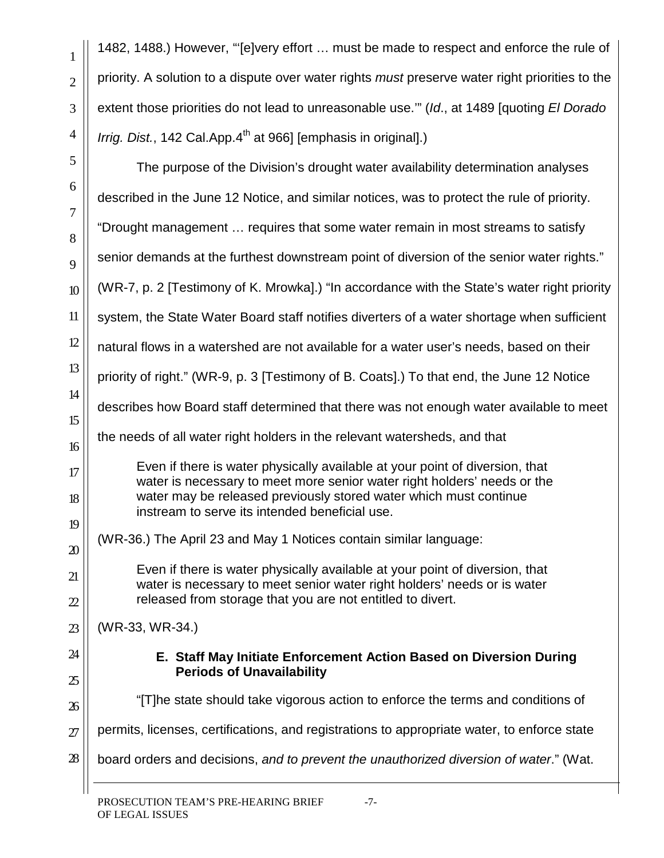1

2

3

4

| 5                     | The purpose of the Division's drought water availability determination analyses                                                                          |
|-----------------------|----------------------------------------------------------------------------------------------------------------------------------------------------------|
| 6<br>$\boldsymbol{7}$ | described in the June 12 Notice, and similar notices, was to protect the rule of priority.                                                               |
| 8                     | "Drought management  requires that some water remain in most streams to satisfy                                                                          |
| 9                     | senior demands at the furthest downstream point of diversion of the senior water rights."                                                                |
| 10 <sup>°</sup>       | (WR-7, p. 2 [Testimony of K. Mrowka].) "In accordance with the State's water right priority                                                              |
| 11                    | system, the State Water Board staff notifies diverters of a water shortage when sufficient                                                               |
| 12                    | natural flows in a watershed are not available for a water user's needs, based on their                                                                  |
| 13                    | priority of right." (WR-9, p. 3 [Testimony of B. Coats].) To that end, the June 12 Notice                                                                |
| 14<br>15              | describes how Board staff determined that there was not enough water available to meet                                                                   |
| 16                    | the needs of all water right holders in the relevant watersheds, and that                                                                                |
| 17                    | Even if there is water physically available at your point of diversion, that<br>water is necessary to meet more senior water right holders' needs or the |
| 18                    | water may be released previously stored water which must continue<br>instream to serve its intended beneficial use.                                      |
| 19                    | (WR-36.) The April 23 and May 1 Notices contain similar language:                                                                                        |
| $\mathfrak{D}$        | Even if there is water physically available at your point of diversion, that                                                                             |
| 21                    | water is necessary to meet senior water right holders' needs or is water<br>released from storage that you are not entitled to divert.                   |
| $\mathfrak{D}$        |                                                                                                                                                          |
| 23                    | (WR-33, WR-34.)                                                                                                                                          |
| 24<br>25              | E. Staff May Initiate Enforcement Action Based on Diversion During<br><b>Periods of Unavailability</b>                                                   |
| $\mathfrak{B}$        | "[T]he state should take vigorous action to enforce the terms and conditions of                                                                          |
| 27                    | permits, licenses, certifications, and registrations to appropriate water, to enforce state                                                              |
| $\mathfrak{B}$        | board orders and decisions, and to prevent the unauthorized diversion of water." (Wat.                                                                   |
|                       |                                                                                                                                                          |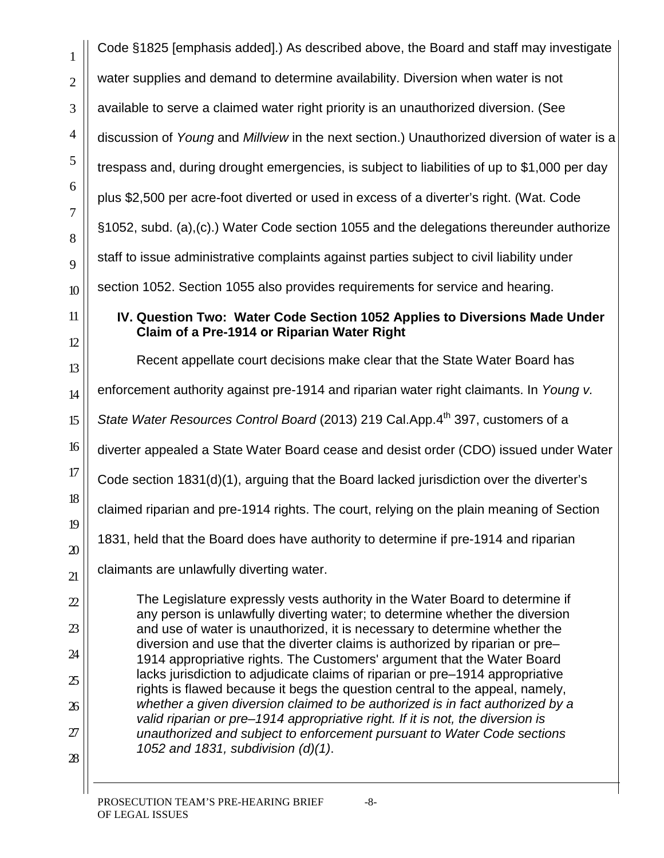Code §1825 [emphasis added].) As described above, the Board and staff may investigate water supplies and demand to determine availability. Diversion when water is not available to serve a claimed water right priority is an unauthorized diversion. (See discussion of *Young* and *Millview* in the next section.) Unauthorized diversion of water is a trespass and, during drought emergencies, is subject to liabilities of up to \$1,000 per day plus \$2,500 per acre-foot diverted or used in excess of a diverter's right. (Wat. Code §1052, subd. (a),(c).) Water Code section 1055 and the delegations thereunder authorize staff to issue administrative complaints against parties subject to civil liability under section 1052. Section 1055 also provides requirements for service and hearing. **IV. Question Two: Water Code Section 1052 Applies to Diversions Made Under Claim of a Pre-1914 or Riparian Water Right** Recent appellate court decisions make clear that the State Water Board has enforcement authority against pre-1914 and riparian water right claimants. In *Young v. State Water Resources Control Board* (2013) 219 Cal.App.4<sup>th</sup> 397, customers of a diverter appealed a State Water Board cease and desist order (CDO) issued under Water Code section 1831(d)(1), arguing that the Board lacked jurisdiction over the diverter's claimed riparian and pre-1914 rights. The court, relying on the plain meaning of Section 1831, held that the Board does have authority to determine if pre-1914 and riparian claimants are unlawfully diverting water. The Legislature expressly vests authority in the Water Board to determine if any person is unlawfully diverting water; to determine whether the diversion and use of water is unauthorized, it is necessary to determine whether the diversion and use that the diverter claims is authorized by riparian or pre– 1914 appropriative rights. The Customers' argument that the Water Board lacks jurisdiction to adjudicate claims of riparian or pre–1914 appropriative rights is flawed because it begs the question central to the appeal, namely, *whether a given diversion claimed to be authorized is in fact authorized by a valid riparian or pre–1914 appropriative right. If it is not, the diversion is unauthorized and subject to enforcement pursuant to Water Code sections 1052 and 1831, subdivision (d)(1)*.

1

2

3

4

5

6

7

8

9

10

11

12

13

14

15

16

17

18

19

20

21

 $22$ 

23

24

25

26

27

28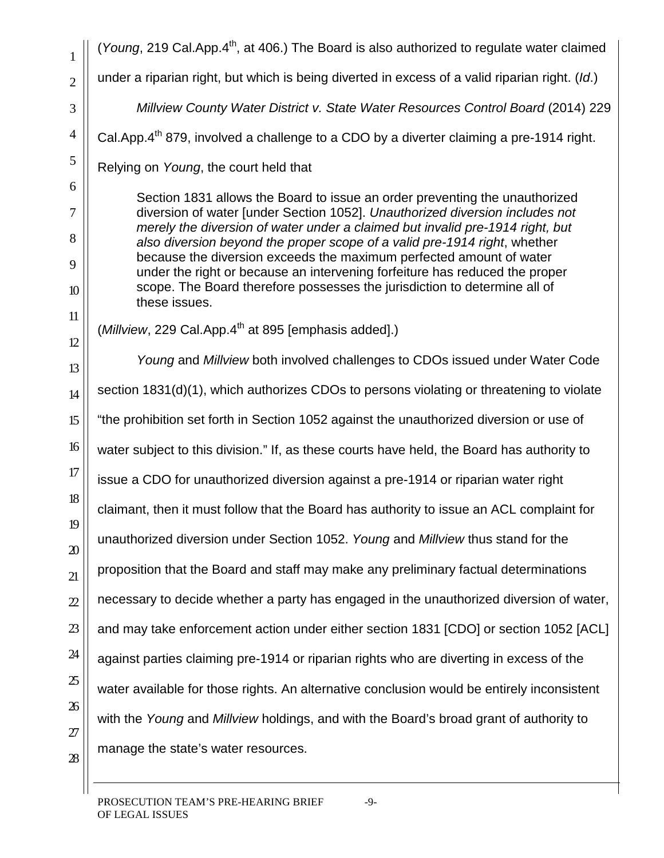1 2 3 4 5 6 7 8 9 10 11 12 13 14 15 16 17 18 19 20 21  $22$ 23 24 25 26 27 28 (*Young*, 219 Cal.App.4<sup>th</sup>, at 406.) The Board is also authorized to regulate water claimed under a riparian right, but which is being diverted in excess of a valid riparian right. (*Id*.) *Millview County Water District v. State Water Resources Control Board* (2014) 229 Cal.App.4<sup>th</sup> 879, involved a challenge to a CDO by a diverter claiming a pre-1914 right. Relying on *Young*, the court held that Section 1831 allows the Board to issue an order preventing the unauthorized diversion of water [under Section 1052]. *Unauthorized diversion includes not merely the diversion of water under a claimed but invalid pre-1914 right, but also diversion beyond the proper scope of a valid pre-1914 right*, whether because the diversion exceeds the maximum perfected amount of water under the right or because an intervening forfeiture has reduced the proper scope. The Board therefore possesses the jurisdiction to determine all of these issues. (*Millview*, 229 Cal.App.4<sup>th</sup> at 895 [emphasis added].) *Young* and *Millview* both involved challenges to CDOs issued under Water Code section 1831(d)(1), which authorizes CDOs to persons violating or threatening to violate "the prohibition set forth in Section 1052 against the unauthorized diversion or use of water subject to this division." If, as these courts have held, the Board has authority to issue a CDO for unauthorized diversion against a pre-1914 or riparian water right claimant, then it must follow that the Board has authority to issue an ACL complaint for unauthorized diversion under Section 1052. *Young* and *Millview* thus stand for the proposition that the Board and staff may make any preliminary factual determinations necessary to decide whether a party has engaged in the unauthorized diversion of water, and may take enforcement action under either section 1831 [CDO] or section 1052 [ACL] against parties claiming pre-1914 or riparian rights who are diverting in excess of the water available for those rights. An alternative conclusion would be entirely inconsistent with the *Young* and *Millview* holdings, and with the Board's broad grant of authority to manage the state's water resources.